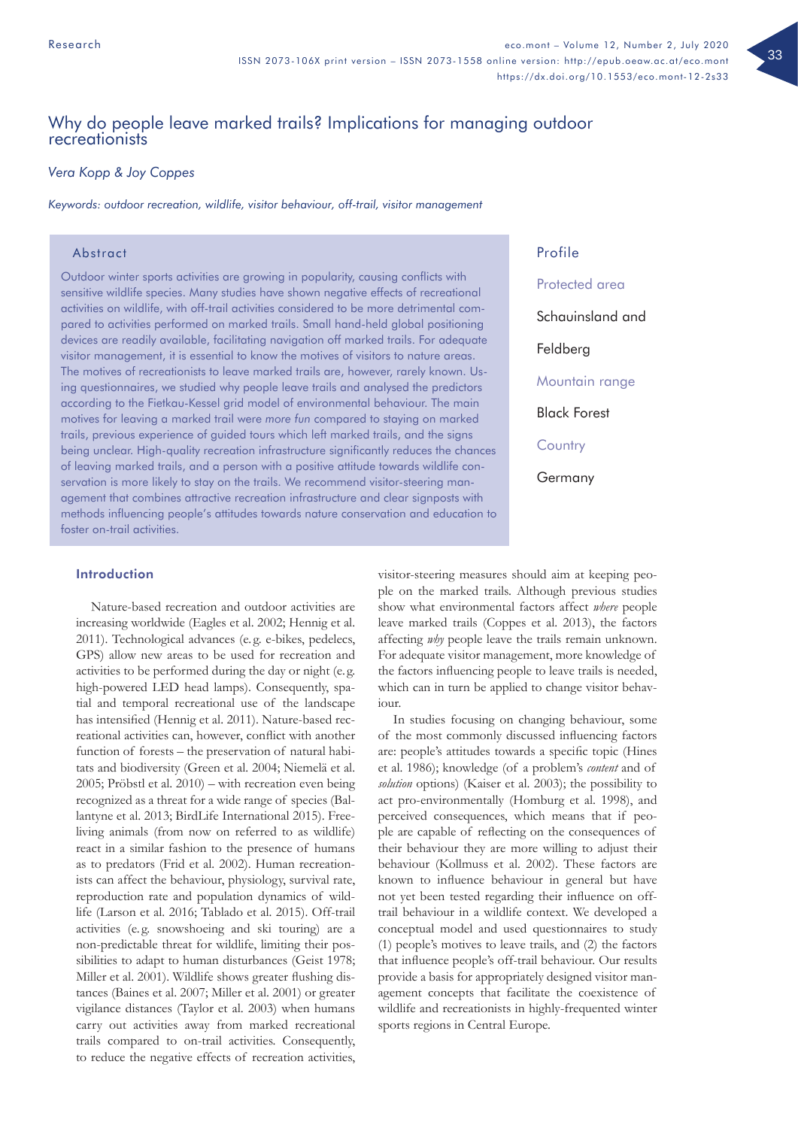# Why do people leave marked trails? Implications for managing outdoor recreationists

# *Vera Kopp & Joy Coppes*

*Keywords: outdoor recreation, wildlife, visitor behaviour, off-trail, visitor management*

# Abstract

Outdoor winter sports activities are growing in popularity, causing conflicts with sensitive wildlife species. Many studies have shown negative effects of recreational activities on wildlife, with off-trail activities considered to be more detrimental compared to activities performed on marked trails. Small hand-held global positioning devices are readily available, facilitating navigation off marked trails. For adequate visitor management, it is essential to know the motives of visitors to nature areas. The motives of recreationists to leave marked trails are, however, rarely known. Using questionnaires, we studied why people leave trails and analysed the predictors according to the Fietkau-Kessel grid model of environmental behaviour. The main motives for leaving a marked trail were *more fun* compared to staying on marked trails, previous experience of guided tours which left marked trails, and the signs being unclear. High-quality recreation infrastructure significantly reduces the chances of leaving marked trails, and a person with a positive attitude towards wildlife conservation is more likely to stay on the trails. We recommend visitor-steering management that combines attractive recreation infrastructure and clear signposts with methods influencing people's attitudes towards nature conservation and education to foster on-trail activities.

Profile Protected area Schauinsland and Feldberg Mountain range Black Forest **Country Germany** 

# Introduction

Nature-based recreation and outdoor activities are increasing worldwide (Eagles et al. 2002; Hennig et al. 2011). Technological advances (e. g. e-bikes, pedelecs, GPS) allow new areas to be used for recreation and activities to be performed during the day or night (e. g. high-powered LED head lamps). Consequently, spatial and temporal recreational use of the landscape has intensified (Hennig et al. 2011). Nature-based recreational activities can, however, conflict with another function of forests – the preservation of natural habitats and biodiversity (Green et al. 2004; Niemelä et al. 2005; Pröbstl et al. 2010) – with recreation even being recognized as a threat for a wide range of species (Ballantyne et al. 2013; BirdLife International 2015). Freeliving animals (from now on referred to as wildlife) react in a similar fashion to the presence of humans as to predators (Frid et al. 2002). Human recreationists can affect the behaviour, physiology, survival rate, reproduction rate and population dynamics of wildlife (Larson et al. 2016; Tablado et al. 2015). Off-trail activities (e. g. snowshoeing and ski touring) are a non-predictable threat for wildlife, limiting their possibilities to adapt to human disturbances (Geist 1978; Miller et al. 2001). Wildlife shows greater flushing distances (Baines et al. 2007; Miller et al. 2001) or greater vigilance distances (Taylor et al. 2003) when humans carry out activities away from marked recreational trails compared to on-trail activities. Consequently, to reduce the negative effects of recreation activities,

visitor-steering measures should aim at keeping people on the marked trails. Although previous studies show what environmental factors affect *where* people leave marked trails (Coppes et al. 2013), the factors affecting *why* people leave the trails remain unknown. For adequate visitor management, more knowledge of the factors influencing people to leave trails is needed, which can in turn be applied to change visitor behaviour.

In studies focusing on changing behaviour, some of the most commonly discussed influencing factors are: people's attitudes towards a specific topic (Hines et al. 1986); knowledge (of a problem's *content* and of *solution* options) (Kaiser et al. 2003); the possibility to act pro-environmentally (Homburg et al. 1998), and perceived consequences, which means that if people are capable of reflecting on the consequences of their behaviour they are more willing to adjust their behaviour (Kollmuss et al. 2002). These factors are known to influence behaviour in general but have not yet been tested regarding their influence on offtrail behaviour in a wildlife context. We developed a conceptual model and used questionnaires to study (1) people's motives to leave trails, and (2) the factors that influence people's off-trail behaviour. Our results provide a basis for appropriately designed visitor management concepts that facilitate the coexistence of wildlife and recreationists in highly-frequented winter sports regions in Central Europe.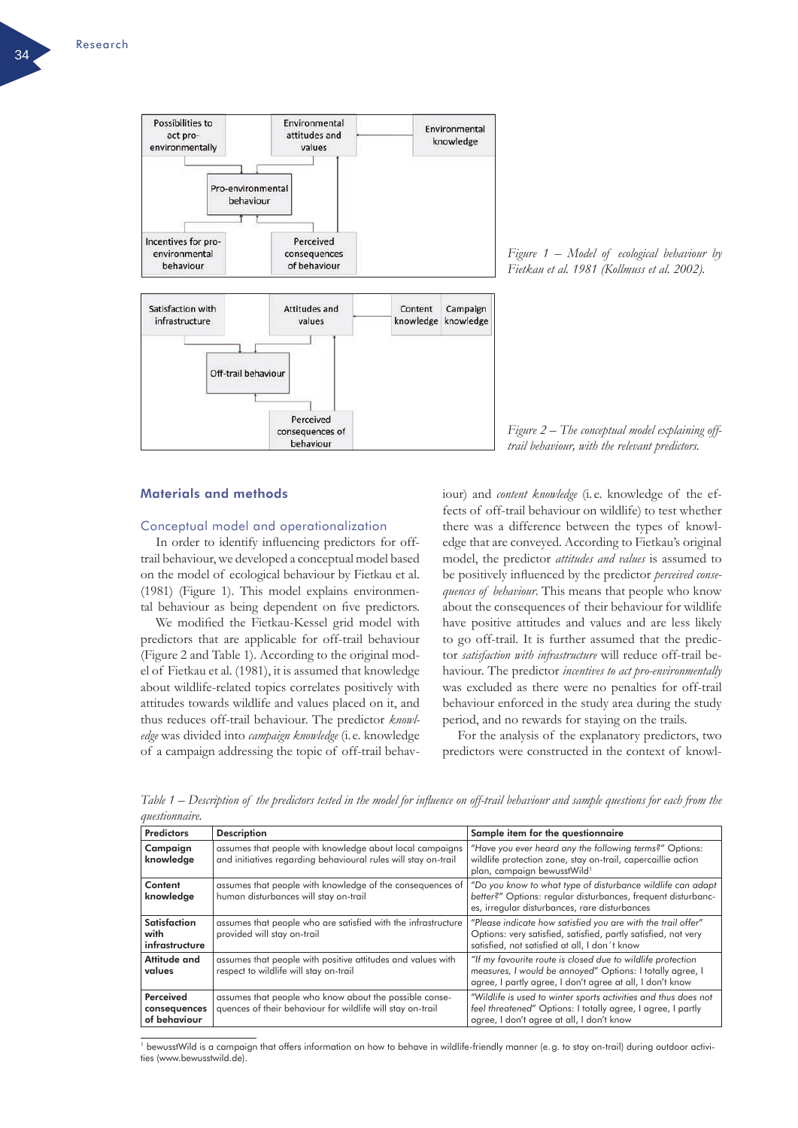

*Figure 1 – Model of ecological behaviour by Fietkau et al. 1981 (Kollmuss et al. 2002).*

*Figure 2 – The conceptual model explaining offtrail behaviour, with the relevant predictors.*

# Materials and methods

#### Conceptual model and operationalization

In order to identify influencing predictors for offtrail behaviour, we developed a conceptual model based on the model of ecological behaviour by Fietkau et al. (1981) (Figure 1). This model explains environmental behaviour as being dependent on five predictors.

We modified the Fietkau-Kessel grid model with predictors that are applicable for off-trail behaviour (Figure 2 and Table 1). According to the original model of Fietkau et al. (1981), it is assumed that knowledge about wildlife-related topics correlates positively with attitudes towards wildlife and values placed on it, and thus reduces off-trail behaviour. The predictor *knowledge* was divided into *campaign knowledge* (i. e. knowledge of a campaign addressing the topic of off-trail behaviour) and *content knowledge* (i. e. knowledge of the effects of off-trail behaviour on wildlife) to test whether there was a difference between the types of knowledge that are conveyed. According to Fietkau's original model, the predictor *attitudes and values* is assumed to be positively influenced by the predictor *perceived consequences of behaviour*. This means that people who know about the consequences of their behaviour for wildlife have positive attitudes and values and are less likely to go off-trail. It is further assumed that the predictor *satisfaction with infrastructure* will reduce off-trail behaviour. The predictor *incentives to act pro-environmentally* was excluded as there were no penalties for off-trail behaviour enforced in the study area during the study period, and no rewards for staying on the trails.

For the analysis of the explanatory predictors, two predictors were constructed in the context of knowl-

Predictors Description Sample item for the questionnaire Campaign knowledge assumes that people with knowledge about local campaigns and initiatives regarding behavioural rules will stay on-trail "*Have you ever heard any the following terms?*" Options: wildlife protection zone, stay on-trail, capercaillie action plan, campaign bewusstWild<sup>1</sup> Content knowledge assumes that people with knowledge of the consequences of human disturbances will stay on-trail "*Do you know to what type of disturbance wildlife can adapt better?*" Options: regular disturbances, frequent disturbances, irregular disturbances, rare disturbances Satisfaction with infrastructure assumes that people who are satisfied with the infrastructure provided will stay on-trail "*Please indicate how satisfied you are with the trail offer*" Options: very satisfied, satisfied, partly satisfied, not very satisfied, not satisfied at all, I don´t know **Attitude and** values assumes that people with positive attitudes and values with respect to wildlife will stay on-trail *"If my favourite route is closed due to wildlife protection measures, I would be annoyed*" Options: I totally agree, I agree, I partly agree, I don't agree at all, I don't know Perceived consequences of behaviour assumes that people who know about the possible consequences of their behaviour for wildlife will stay on-trail "*Wildlife is used to winter sports activities and thus does not feel threatened*" Options: I totally agree, I agree, I partly agree, I don't agree at all, I don't know

*Table 1 – Description of the predictors tested in the model for influence on off-trail behaviour and sample questions for each from the questionnaire.* 

<sup>1</sup> bewusstWild is a campaign that offers information on how to behave in wildlife-friendly manner (e.g. to stay on-trail) during outdoor activities (www.bewusstwild.de).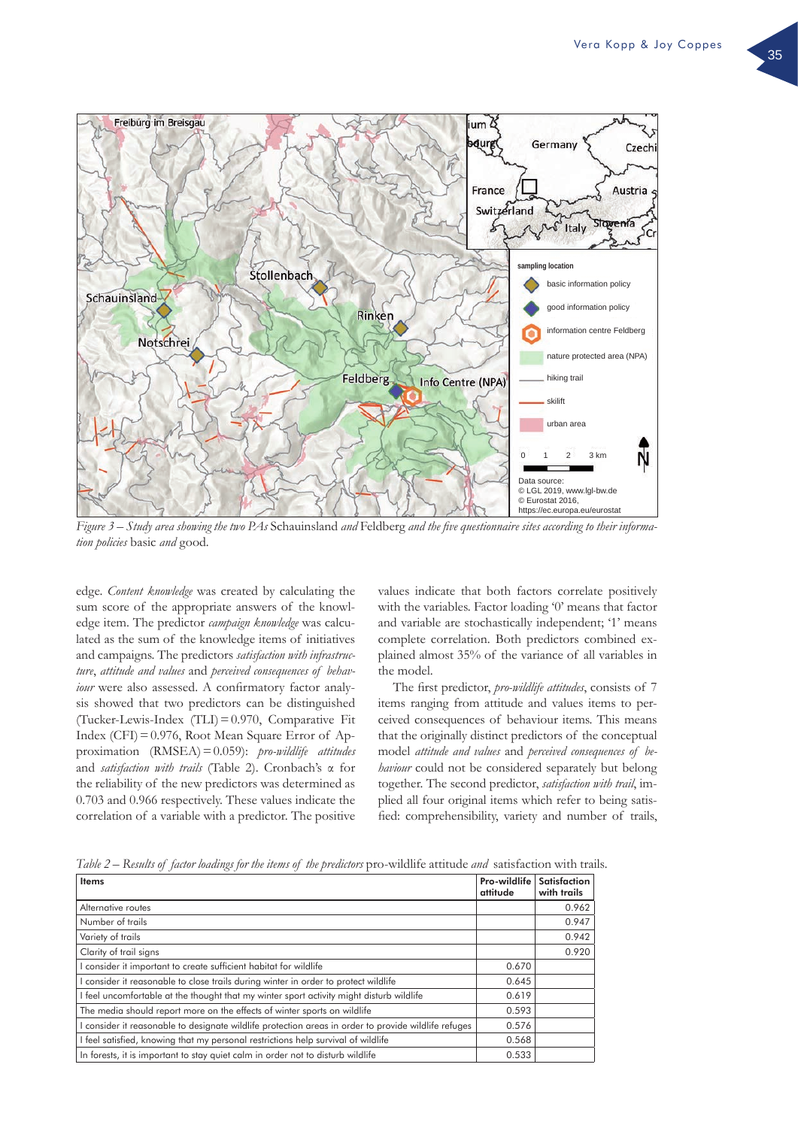

*Figure 3 – Study area showing the two PAs* Schauinsland *and* Feldberg *and the five questionnaire sites according to their information policies* basic *and* good*.*

edge. *Content knowledge* was created by calculating the sum score of the appropriate answers of the knowledge item. The predictor *campaign knowledge* was calculated as the sum of the knowledge items of initiatives and campaigns. The predictors *satisfaction with infrastructure*, *attitude and values* and *perceived consequences of behaviour* were also assessed. A confirmatory factor analysis showed that two predictors can be distinguished (Tucker-Lewis-Index (TLI)=0.970, Comparative Fit Index (CFI)=0.976, Root Mean Square Error of Approximation (RMSEA)=0.059): *pro-wildlife attitudes* and *satisfaction with trails* (Table 2). Cronbach's α for the reliability of the new predictors was determined as 0.703 and 0.966 respectively. These values indicate the correlation of a variable with a predictor. The positive values indicate that both factors correlate positively with the variables. Factor loading '0' means that factor and variable are stochastically independent; '1' means complete correlation. Both predictors combined explained almost 35% of the variance of all variables in the model.

The first predictor, *pro-wildlife attitudes*, consists of 7 items ranging from attitude and values items to perceived consequences of behaviour items. This means that the originally distinct predictors of the conceptual model *attitude and values* and *perceived consequences of behaviour* could not be considered separately but belong together. The second predictor, *satisfaction with trail*, implied all four original items which refer to being satisfied: comprehensibility, variety and number of trails,

*Table 2 – Results of factor loadings for the items of the predictors pro-wildlife attitude and satisfaction with trails.* 

| <b>Items</b>                                                                                         | Pro-wildlife<br>attitude | Satisfaction<br>with trails |
|------------------------------------------------------------------------------------------------------|--------------------------|-----------------------------|
| Alternative routes                                                                                   |                          | 0.962                       |
| Number of trails                                                                                     |                          | 0.947                       |
| Variety of trails                                                                                    |                          | 0.942                       |
| Clarity of trail signs                                                                               |                          | 0.920                       |
| I consider it important to create sufficient habitat for wildlife                                    | 0.670                    |                             |
| I consider it reasonable to close trails during winter in order to protect wildlife                  | 0.645                    |                             |
| I feel uncomfortable at the thought that my winter sport activity might disturb wildlife             | 0.619                    |                             |
| The media should report more on the effects of winter sports on wildlife                             | 0.593                    |                             |
| I consider it reasonable to designate wildlife protection areas in order to provide wildlife refuges | 0.576                    |                             |
| I feel satisfied, knowing that my personal restrictions help survival of wildlife                    | 0.568                    |                             |
| In forests, it is important to stay quiet calm in order not to disturb wildlife                      | 0.533                    |                             |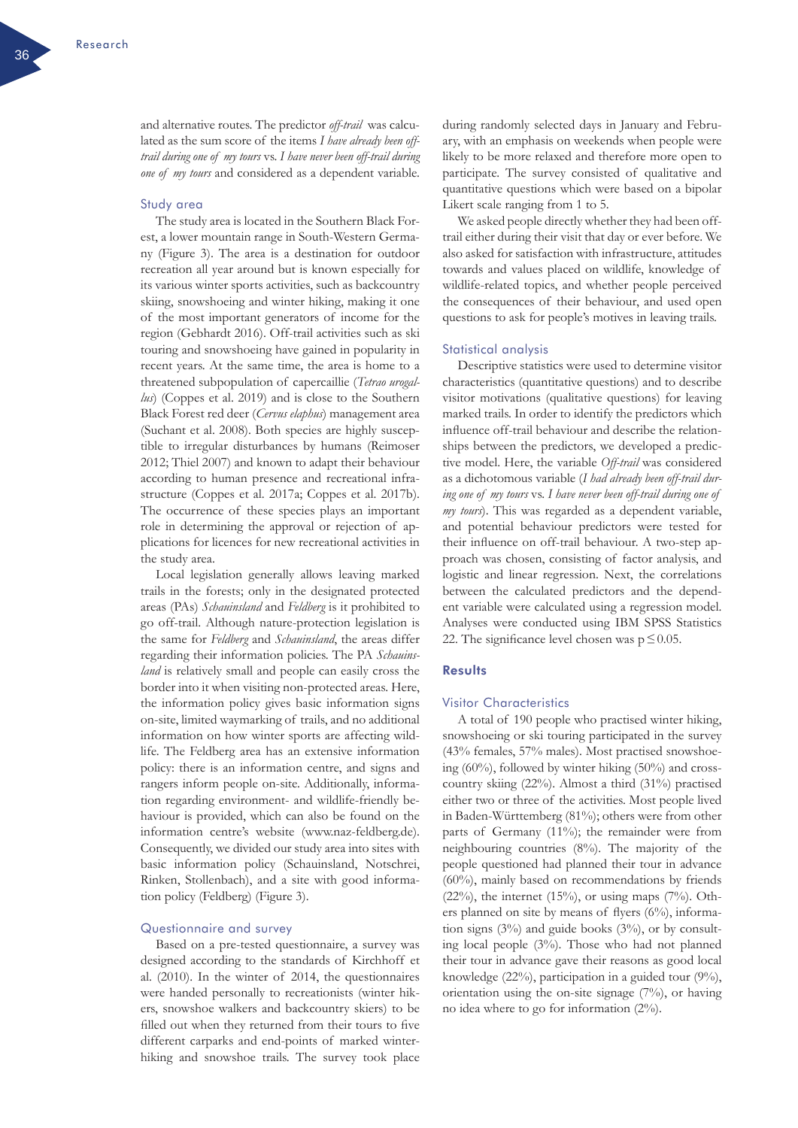and alternative routes. The predictor *off-trail* was calculated as the sum score of the items *I have already been offtrail during one of my tours* vs. *I have never been off-trail during one of my tours* and considered as a dependent variable.

#### Study area

The study area is located in the Southern Black Forest, a lower mountain range in South-Western Germany (Figure 3). The area is a destination for outdoor recreation all year around but is known especially for its various winter sports activities, such as backcountry skiing, snowshoeing and winter hiking, making it one of the most important generators of income for the region (Gebhardt 2016). Off-trail activities such as ski touring and snowshoeing have gained in popularity in recent years. At the same time, the area is home to a threatened subpopulation of capercaillie (*Tetrao urogallus*) (Coppes et al. 2019) and is close to the Southern Black Forest red deer (*Cervus elaphus*) management area (Suchant et al. 2008). Both species are highly susceptible to irregular disturbances by humans (Reimoser 2012; Thiel 2007) and known to adapt their behaviour according to human presence and recreational infrastructure (Coppes et al. 2017a; Coppes et al. 2017b). The occurrence of these species plays an important role in determining the approval or rejection of applications for licences for new recreational activities in the study area.

Local legislation generally allows leaving marked trails in the forests; only in the designated protected areas (PAs) *Schauinsland* and *Feldberg* is it prohibited to go off-trail. Although nature-protection legislation is the same for *Feldberg* and *Schauinsland*, the areas differ regarding their information policies. The PA *Schauinsland* is relatively small and people can easily cross the border into it when visiting non-protected areas. Here, the information policy gives basic information signs on-site, limited waymarking of trails, and no additional information on how winter sports are affecting wildlife. The Feldberg area has an extensive information policy: there is an information centre, and signs and rangers inform people on-site. Additionally, information regarding environment- and wildlife-friendly behaviour is provided, which can also be found on the information centre's website ([www.naz-feldberg.de](http://www.naz-feldberg.de)). Consequently, we divided our study area into sites with basic information policy (Schauinsland, Notschrei, Rinken, Stollenbach), and a site with good information policy (Feldberg) (Figure 3).

### Questionnaire and survey

Based on a pre-tested questionnaire, a survey was designed according to the standards of Kirchhoff et al. (2010). In the winter of 2014, the questionnaires were handed personally to recreationists (winter hikers, snowshoe walkers and backcountry skiers) to be filled out when they returned from their tours to five different carparks and end-points of marked winterhiking and snowshoe trails. The survey took place during randomly selected days in January and February, with an emphasis on weekends when people were likely to be more relaxed and therefore more open to participate. The survey consisted of qualitative and quantitative questions which were based on a bipolar Likert scale ranging from 1 to 5.

We asked people directly whether they had been offtrail either during their visit that day or ever before. We also asked for satisfaction with infrastructure, attitudes towards and values placed on wildlife, knowledge of wildlife-related topics, and whether people perceived the consequences of their behaviour, and used open questions to ask for people's motives in leaving trails.

#### Statistical analysis

Descriptive statistics were used to determine visitor characteristics (quantitative questions) and to describe visitor motivations (qualitative questions) for leaving marked trails. In order to identify the predictors which influence off-trail behaviour and describe the relationships between the predictors, we developed a predictive model. Here, the variable *Off-trail* was considered as a dichotomous variable (*I had already been off-trail during one of my tours* vs. *I have never been off-trail during one of my tours*). This was regarded as a dependent variable, and potential behaviour predictors were tested for their influence on off-trail behaviour. A two-step approach was chosen, consisting of factor analysis, and logistic and linear regression. Next, the correlations between the calculated predictors and the dependent variable were calculated using a regression model. Analyses were conducted using IBM SPSS Statistics 22. The significance level chosen was  $p \leq 0.05$ .

# Results

#### Visitor Characteristics

A total of 190 people who practised winter hiking, snowshoeing or ski touring participated in the survey (43% females, 57% males). Most practised snowshoeing (60%), followed by winter hiking (50%) and crosscountry skiing (22%). Almost a third (31%) practised either two or three of the activities. Most people lived in Baden-Württemberg (81%); others were from other parts of Germany (11%); the remainder were from neighbouring countries (8%). The majority of the people questioned had planned their tour in advance (60%), mainly based on recommendations by friends (22%), the internet (15%), or using maps (7%). Others planned on site by means of flyers (6%), information signs  $(3\%)$  and guide books  $(3\%)$ , or by consulting local people (3%). Those who had not planned their tour in advance gave their reasons as good local knowledge (22%), participation in a guided tour (9%), orientation using the on-site signage (7%), or having no idea where to go for information (2%).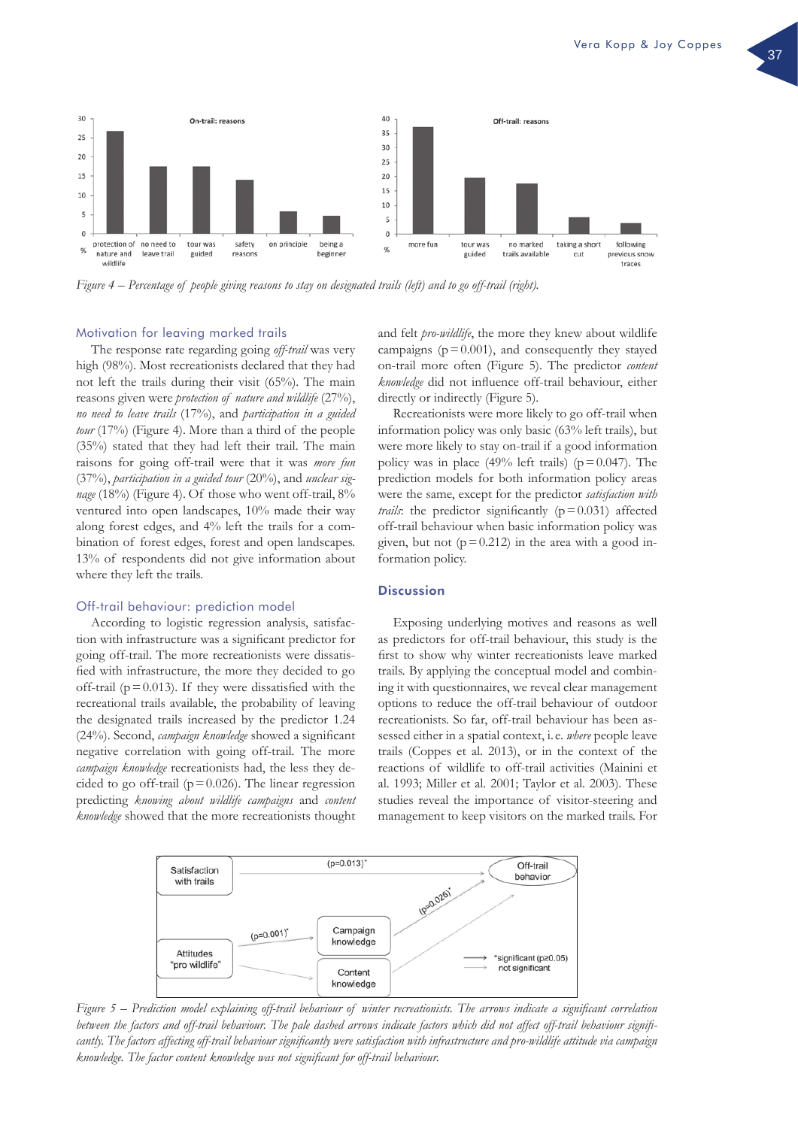

*Figure 4 – Percentage of people giving reasons to stay on designated trails (left) and to go off-trail (right).*

#### Motivation for leaving marked trails

The response rate regarding going *off-trail* was very high (98%). Most recreationists declared that they had not left the trails during their visit (65%). The main reasons given were *protection of nature and wildlife* (27%), *no need to leave trails* (17%), and *participation in a guided tour* (17%) (Figure 4). More than a third of the people (35%) stated that they had left their trail. The main raisons for going off-trail were that it was *more fun* (37%), *participation in a guided tour* (20%), and *unclear signage* (18%) (Figure 4). Of those who went off-trail, 8% ventured into open landscapes, 10% made their way along forest edges, and 4% left the trails for a combination of forest edges, forest and open landscapes. 13% of respondents did not give information about where they left the trails.

# Off-trail behaviour: prediction model

According to logistic regression analysis, satisfaction with infrastructure was a significant predictor for going off-trail. The more recreationists were dissatisfied with infrastructure, the more they decided to go off-trail ( $p = 0.013$ ). If they were dissatisfied with the recreational trails available, the probability of leaving the designated trails increased by the predictor 1.24 (24%). Second, *campaign knowledge* showed a significant negative correlation with going off-trail. The more *campaign knowledge* recreationists had, the less they decided to go off-trail ( $p = 0.026$ ). The linear regression predicting *knowing about wildlife campaigns* and *content knowledge* showed that the more recreationists thought

and felt *pro-wildlife*, the more they knew about wildlife campaigns  $(p=0.001)$ , and consequently they stayed on-trail more often (Figure 5). The predictor *content knowledge* did not influence off-trail behaviour, either directly or indirectly (Figure 5).

Recreationists were more likely to go off-trail when information policy was only basic (63% left trails), but were more likely to stay on-trail if a good information policy was in place (49% left trails) ( $p = 0.047$ ). The prediction models for both information policy areas were the same, except for the predictor *satisfaction with trails*: the predictor significantly  $(p=0.031)$  affected off-trail behaviour when basic information policy was given, but not  $(p=0.212)$  in the area with a good information policy.

### **Discussion**

Exposing underlying motives and reasons as well as predictors for off-trail behaviour, this study is the first to show why winter recreationists leave marked trails. By applying the conceptual model and combining it with questionnaires, we reveal clear management options to reduce the off-trail behaviour of outdoor recreationists. So far, off-trail behaviour has been assessed either in a spatial context, i. e. *where* people leave trails (Coppes et al. 2013), or in the context of the reactions of wildlife to off-trail activities (Mainini et al. 1993; Miller et al. 2001; Taylor et al. 2003). These studies reveal the importance of visitor-steering and management to keep visitors on the marked trails. For



*Figure 5 – Prediction model explaining off-trail behaviour of winter recreationists. The arrows indicate a significant correlation between the factors and off-trail behaviour. The pale dashed arrows indicate factors which did not affect off-trail behaviour significantly. The factors affecting off-trail behaviour significantly were satisfaction with infrastructure and pro-wildlife attitude via campaign knowledge. The factor content knowledge was not significant for off-trail behaviour.*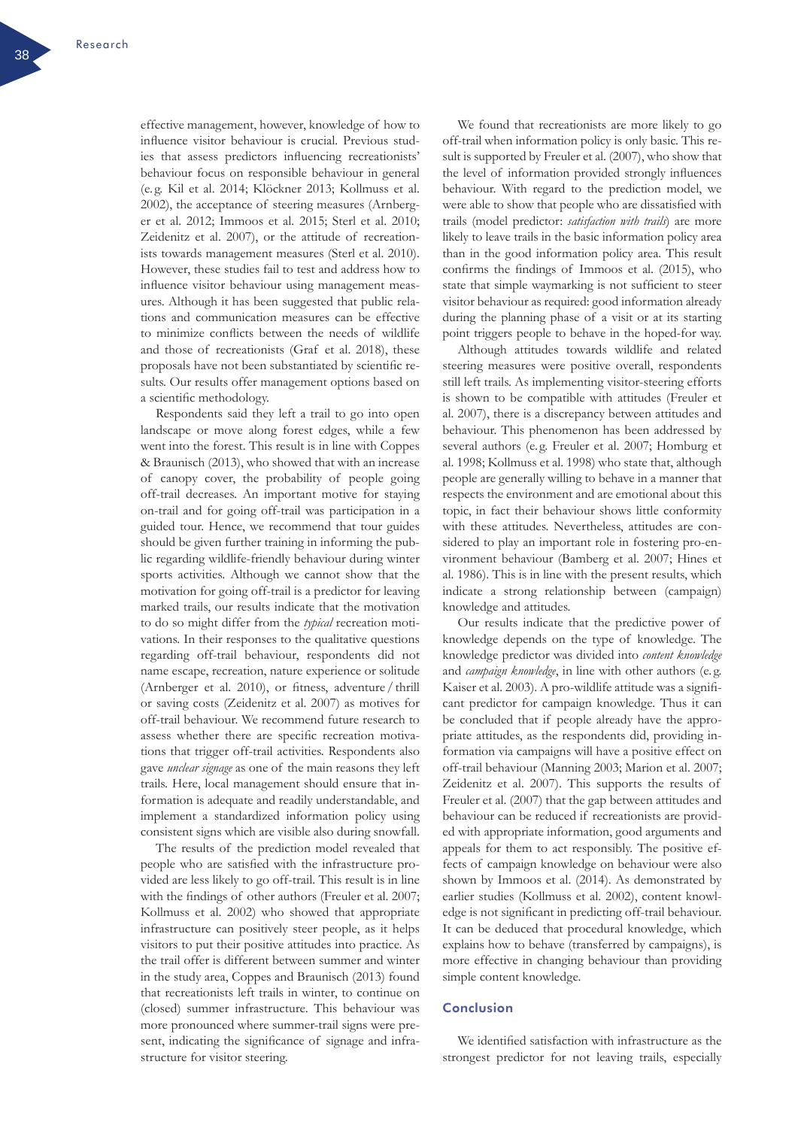effective management, however, knowledge of how to influence visitor behaviour is crucial. Previous studies that assess predictors influencing recreationists' behaviour focus on responsible behaviour in general (e. g. Kil et al. 2014; Klöckner 2013; Kollmuss et al. 2002), the acceptance of steering measures (Arnberger et al. 2012; Immoos et al. 2015; Sterl et al. 2010; Zeidenitz et al. 2007), or the attitude of recreationists towards management measures (Sterl et al. 2010). However, these studies fail to test and address how to influence visitor behaviour using management measures. Although it has been suggested that public relations and communication measures can be effective to minimize conflicts between the needs of wildlife and those of recreationists (Graf et al. 2018), these proposals have not been substantiated by scientific results. Our results offer management options based on a scientific methodology.

Respondents said they left a trail to go into open landscape or move along forest edges, while a few went into the forest. This result is in line with Coppes & Braunisch (2013), who showed that with an increase of canopy cover, the probability of people going off-trail decreases. An important motive for staying on-trail and for going off-trail was participation in a guided tour. Hence, we recommend that tour guides should be given further training in informing the public regarding wildlife-friendly behaviour during winter sports activities. Although we cannot show that the motivation for going off-trail is a predictor for leaving marked trails, our results indicate that the motivation to do so might differ from the *typical* recreation motivations. In their responses to the qualitative questions regarding off-trail behaviour, respondents did not name escape, recreation, nature experience or solitude (Arnberger et al. 2010), or fitness, adventure / thrill or saving costs (Zeidenitz et al. 2007) as motives for off-trail behaviour. We recommend future research to assess whether there are specific recreation motivations that trigger off-trail activities. Respondents also gave *unclear signage* as one of the main reasons they left trails. Here, local management should ensure that information is adequate and readily understandable, and implement a standardized information policy using consistent signs which are visible also during snowfall.

The results of the prediction model revealed that people who are satisfied with the infrastructure provided are less likely to go off-trail. This result is in line with the findings of other authors (Freuler et al. 2007; Kollmuss et al. 2002) who showed that appropriate infrastructure can positively steer people, as it helps visitors to put their positive attitudes into practice. As the trail offer is different between summer and winter in the study area, Coppes and Braunisch (2013) found that recreationists left trails in winter, to continue on (closed) summer infrastructure. This behaviour was more pronounced where summer-trail signs were present, indicating the significance of signage and infrastructure for visitor steering.

We found that recreationists are more likely to go off-trail when information policy is only basic. This result is supported by Freuler et al. (2007), who show that the level of information provided strongly influences behaviour. With regard to the prediction model, we were able to show that people who are dissatisfied with trails (model predictor: *satisfaction with trails*) are more likely to leave trails in the basic information policy area than in the good information policy area. This result confirms the findings of Immoos et al. (2015), who state that simple waymarking is not sufficient to steer visitor behaviour as required: good information already during the planning phase of a visit or at its starting point triggers people to behave in the hoped-for way.

Although attitudes towards wildlife and related steering measures were positive overall, respondents still left trails. As implementing visitor-steering efforts is shown to be compatible with attitudes (Freuler et al. 2007), there is a discrepancy between attitudes and behaviour. This phenomenon has been addressed by several authors (e. g. Freuler et al. 2007; Homburg et al. 1998; Kollmuss et al. 1998) who state that, although people are generally willing to behave in a manner that respects the environment and are emotional about this topic, in fact their behaviour shows little conformity with these attitudes. Nevertheless, attitudes are considered to play an important role in fostering pro-environment behaviour (Bamberg et al. 2007; Hines et al. 1986). This is in line with the present results, which indicate a strong relationship between (campaign) knowledge and attitudes.

Our results indicate that the predictive power of knowledge depends on the type of knowledge. The knowledge predictor was divided into *content knowledge* and *campaign knowledge*, in line with other authors (e. g. Kaiser et al. 2003). A pro-wildlife attitude was a significant predictor for campaign knowledge. Thus it can be concluded that if people already have the appropriate attitudes, as the respondents did, providing information via campaigns will have a positive effect on off-trail behaviour (Manning 2003; Marion et al. 2007; Zeidenitz et al. 2007). This supports the results of Freuler et al. (2007) that the gap between attitudes and behaviour can be reduced if recreationists are provided with appropriate information, good arguments and appeals for them to act responsibly. The positive effects of campaign knowledge on behaviour were also shown by Immoos et al. (2014). As demonstrated by earlier studies (Kollmuss et al. 2002), content knowledge is not significant in predicting off-trail behaviour. It can be deduced that procedural knowledge, which explains how to behave (transferred by campaigns), is more effective in changing behaviour than providing simple content knowledge.

# Conclusion

We identified satisfaction with infrastructure as the strongest predictor for not leaving trails, especially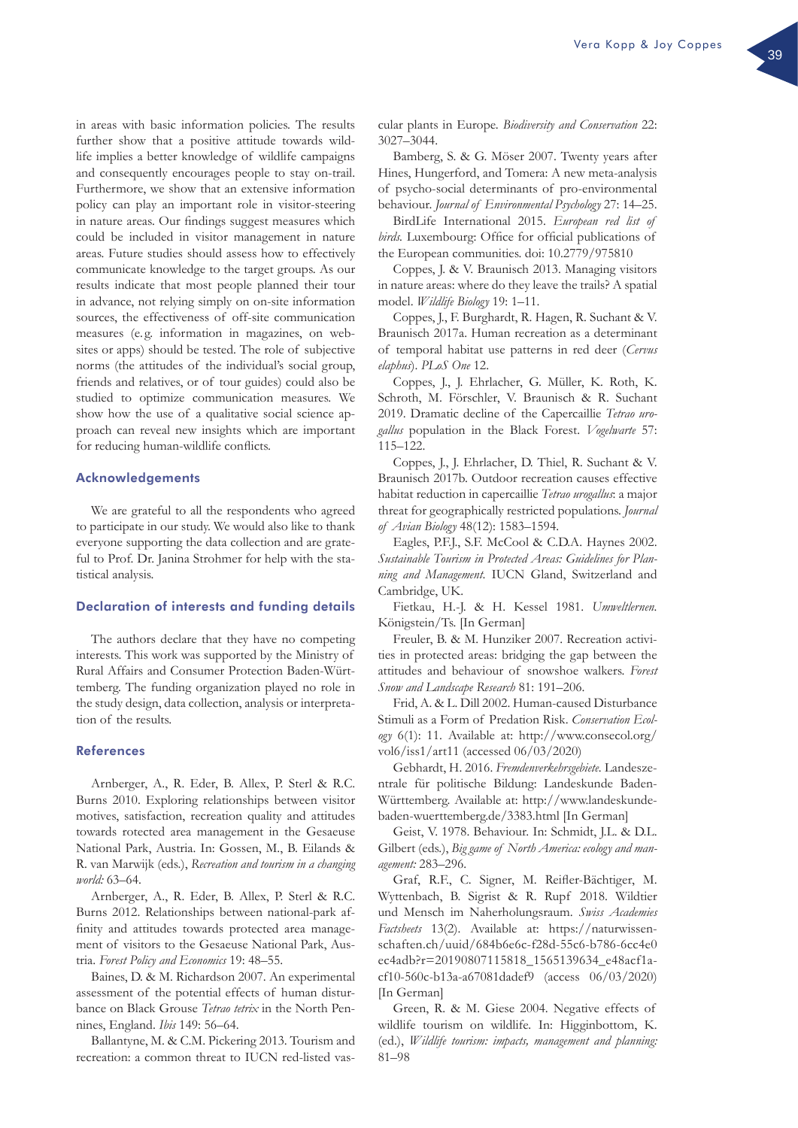in areas with basic information policies. The results further show that a positive attitude towards wildlife implies a better knowledge of wildlife campaigns and consequently encourages people to stay on-trail. Furthermore, we show that an extensive information policy can play an important role in visitor-steering in nature areas. Our findings suggest measures which could be included in visitor management in nature areas. Future studies should assess how to effectively communicate knowledge to the target groups. As our results indicate that most people planned their tour in advance, not relying simply on on-site information sources, the effectiveness of off-site communication measures (e.g. information in magazines, on websites or apps) should be tested. The role of subjective norms (the attitudes of the individual's social group, friends and relatives, or of tour guides) could also be studied to optimize communication measures. We show how the use of a qualitative social science approach can reveal new insights which are important for reducing human-wildlife conflicts.

# Acknowledgements

We are grateful to all the respondents who agreed to participate in our study. We would also like to thank everyone supporting the data collection and are grateful to Prof. Dr. Janina Strohmer for help with the statistical analysis.

# Declaration of interests and funding details

The authors declare that they have no competing interests. This work was supported by the Ministry of Rural Affairs and Consumer Protection Baden-Württemberg. The funding organization played no role in the study design, data collection, analysis or interpretation of the results.

#### References

Arnberger, A., R. Eder, B. Allex, P. Sterl & R.C. Burns 2010. Exploring relationships between visitor motives, satisfaction, recreation quality and attitudes towards rotected area management in the Gesaeuse National Park, Austria. In: Gossen, M., B. Eilands & R. van Marwijk (eds.), *Recreation and tourism in a changing world:* 63–64.

Arnberger, A., R. Eder, B. Allex, P. Sterl & R.C. Burns 2012. Relationships between national-park affinity and attitudes towards protected area management of visitors to the Gesaeuse National Park, Austria. *Forest Policy and Economics* 19: 48–55.

Baines, D. & M. Richardson 2007. An experimental assessment of the potential effects of human disturbance on Black Grouse *Tetrao tetrix* in the North Pennines, England. *Ibis* 149: 56–64.

Ballantyne, M. & C.M. Pickering 2013. Tourism and recreation: a common threat to IUCN red-listed vascular plants in Europe. *Biodiversity and Conservation* 22: 3027–3044.

Bamberg, S. & G. Möser 2007. Twenty years after Hines, Hungerford, and Tomera: A new meta-analysis of psycho-social determinants of pro-environmental behaviour. *Journal of Environmental Psychology* 27: 14–25.

BirdLife International 2015. *European red list of birds.* Luxembourg: Office for official publications of the European communities. doi: 10.2779/975810

Coppes, J. & V. Braunisch 2013. Managing visitors in nature areas: where do they leave the trails? A spatial model. *Wildlife Biology* 19: 1–11.

Coppes, J., F. Burghardt, R. Hagen, R. Suchant & V. Braunisch 2017a. Human recreation as a determinant of temporal habitat use patterns in red deer (*Cervus elaphus*). *PLoS One* 12.

Coppes, J., J. Ehrlacher, G. Müller, K. Roth, K. Schroth, M. Förschler, V. Braunisch & R. Suchant 2019. Dramatic decline of the Capercaillie *Tetrao urogallus* population in the Black Forest. *Vogelwarte* 57: 115–122.

Coppes, J., J. Ehrlacher, D. Thiel, R. Suchant & V. Braunisch 2017b. Outdoor recreation causes effective habitat reduction in capercaillie *Tetrao urogallus*: a major threat for geographically restricted populations. *Journal of Avian Biology* 48(12): 1583–1594.

Eagles, P.F.J., S.F. McCool & C.D.A. Haynes 2002. *Sustainable Tourism in Protected Areas: Guidelines for Planning and Management*. IUCN Gland, Switzerland and Cambridge, UK.

Fietkau, H.-J. & H. Kessel 1981. *Umweltlernen.*  Königstein/Ts. [In German]

Freuler, B. & M. Hunziker 2007. Recreation activities in protected areas: bridging the gap between the attitudes and behaviour of snowshoe walkers. *Forest Snow and Landscape Research* 81: 191–206.

Frid, A. & L. Dill 2002. Human-caused Disturbance Stimuli as a Form of Predation Risk. *Conservation Ecology* 6(1): 11. Available at: [http://www.consecol.org/](http://www.consecol.org/vol6/iss1/art11) [vol6/iss1/art11](http://www.consecol.org/vol6/iss1/art11) (accessed 06/03/2020)

Gebhardt, H. 2016. *Fremdenverkehrsgebiete.* Landeszentrale für politische Bildung: Landeskunde Baden-Württemberg. Available at: [http://www.landeskunde](http://www.landeskunde-baden-wuerttemberg.de/3383.html)[baden-wuerttemberg.de/3383.html](http://www.landeskunde-baden-wuerttemberg.de/3383.html) [In German]

Geist, V. 1978. Behaviour. In: Schmidt, J.L. & D.L. Gilbert (eds.), *Big game of North America: ecology and management:* 283–296.

Graf, R.F., C. Signer, M. Reifler-Bächtiger, M. Wyttenbach, B. Sigrist & R. Rupf 2018. Wildtier und Mensch im Naherholungsraum. *Swiss Academies Factsheets* 13(2). Available at: [https://naturwissen](https://naturwissenschaften.ch/uuid/684b6e6c-f28d-55c6-b786-6cc4e0ec4adb%3Fr%3D20190807115818_1565139634_e48acf1a-cf10-560c-b13a-a67081dadef9)[schaften.ch/uuid/684b6e6c-f28d-55c6-b786-6cc4e0](https://naturwissenschaften.ch/uuid/684b6e6c-f28d-55c6-b786-6cc4e0ec4adb%3Fr%3D20190807115818_1565139634_e48acf1a-cf10-560c-b13a-a67081dadef9) [ec4adb?r=20190807115818\\_1565139634\\_e48acf1a](https://naturwissenschaften.ch/uuid/684b6e6c-f28d-55c6-b786-6cc4e0ec4adb%3Fr%3D20190807115818_1565139634_e48acf1a-cf10-560c-b13a-a67081dadef9)[cf10-560c-b13a-a67081dadef9](https://naturwissenschaften.ch/uuid/684b6e6c-f28d-55c6-b786-6cc4e0ec4adb%3Fr%3D20190807115818_1565139634_e48acf1a-cf10-560c-b13a-a67081dadef9) (access 06/03/2020) [In German]

Green, R. & M. Giese 2004. Negative effects of wildlife tourism on wildlife. In: Higginbottom, K. (ed.), *Wildlife tourism: impacts, management and planning:*  81–98